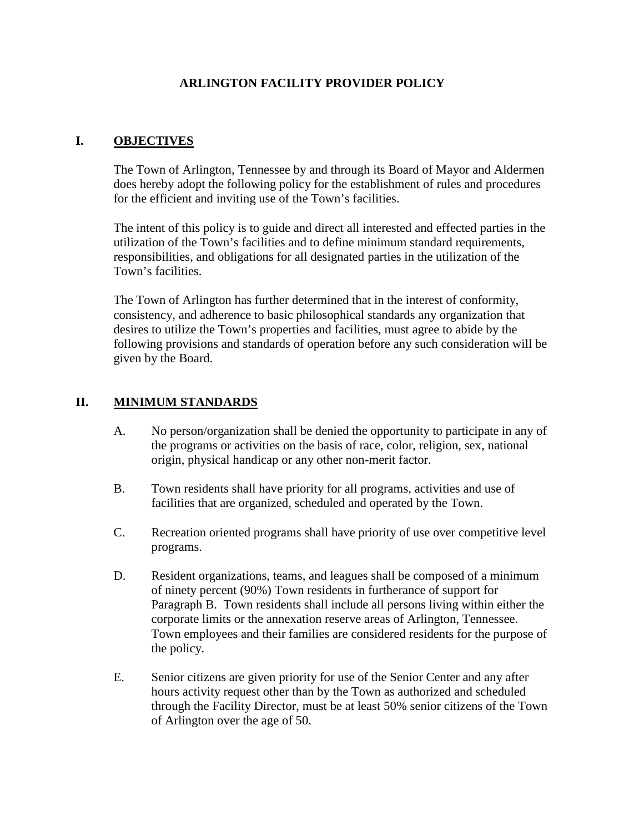# **ARLINGTON FACILITY PROVIDER POLICY**

# **I. OBJECTIVES**

The Town of Arlington, Tennessee by and through its Board of Mayor and Aldermen does hereby adopt the following policy for the establishment of rules and procedures for the efficient and inviting use of the Town's facilities.

The intent of this policy is to guide and direct all interested and effected parties in the utilization of the Town's facilities and to define minimum standard requirements, responsibilities, and obligations for all designated parties in the utilization of the Town's facilities.

The Town of Arlington has further determined that in the interest of conformity, consistency, and adherence to basic philosophical standards any organization that desires to utilize the Town's properties and facilities, must agree to abide by the following provisions and standards of operation before any such consideration will be given by the Board.

# **II. MINIMUM STANDARDS**

- A. No person/organization shall be denied the opportunity to participate in any of the programs or activities on the basis of race, color, religion, sex, national origin, physical handicap or any other non-merit factor.
- B. Town residents shall have priority for all programs, activities and use of facilities that are organized, scheduled and operated by the Town.
- C. Recreation oriented programs shall have priority of use over competitive level programs.
- D. Resident organizations, teams, and leagues shall be composed of a minimum of ninety percent (90%) Town residents in furtherance of support for Paragraph B. Town residents shall include all persons living within either the corporate limits or the annexation reserve areas of Arlington, Tennessee. Town employees and their families are considered residents for the purpose of the policy.
- E. Senior citizens are given priority for use of the Senior Center and any after hours activity request other than by the Town as authorized and scheduled through the Facility Director, must be at least 50% senior citizens of the Town of Arlington over the age of 50.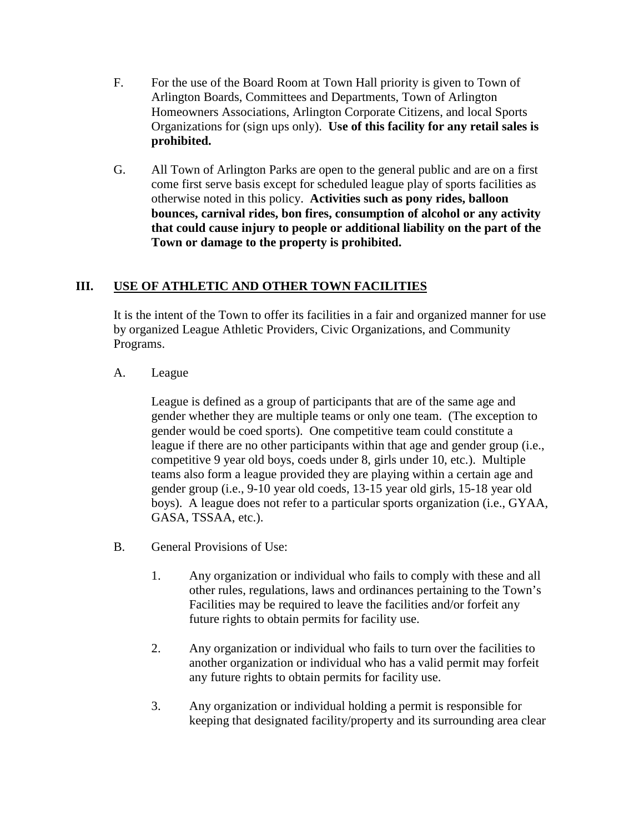- F. For the use of the Board Room at Town Hall priority is given to Town of Arlington Boards, Committees and Departments, Town of Arlington Homeowners Associations, Arlington Corporate Citizens, and local Sports Organizations for (sign ups only). **Use of this facility for any retail sales is prohibited.**
- G. All Town of Arlington Parks are open to the general public and are on a first come first serve basis except for scheduled league play of sports facilities as otherwise noted in this policy. **Activities such as pony rides, balloon bounces, carnival rides, bon fires, consumption of alcohol or any activity that could cause injury to people or additional liability on the part of the Town or damage to the property is prohibited.**

# **III. USE OF ATHLETIC AND OTHER TOWN FACILITIES**

It is the intent of the Town to offer its facilities in a fair and organized manner for use by organized League Athletic Providers, Civic Organizations, and Community Programs.

A. League

League is defined as a group of participants that are of the same age and gender whether they are multiple teams or only one team. (The exception to gender would be coed sports). One competitive team could constitute a league if there are no other participants within that age and gender group (i.e., competitive 9 year old boys, coeds under 8, girls under 10, etc.). Multiple teams also form a league provided they are playing within a certain age and gender group (i.e., 9-10 year old coeds, 13-15 year old girls, 15-18 year old boys). A league does not refer to a particular sports organization (i.e., GYAA, GASA, TSSAA, etc.).

- B. General Provisions of Use:
	- 1. Any organization or individual who fails to comply with these and all other rules, regulations, laws and ordinances pertaining to the Town's Facilities may be required to leave the facilities and/or forfeit any future rights to obtain permits for facility use.
	- 2. Any organization or individual who fails to turn over the facilities to another organization or individual who has a valid permit may forfeit any future rights to obtain permits for facility use.
	- 3. Any organization or individual holding a permit is responsible for keeping that designated facility/property and its surrounding area clear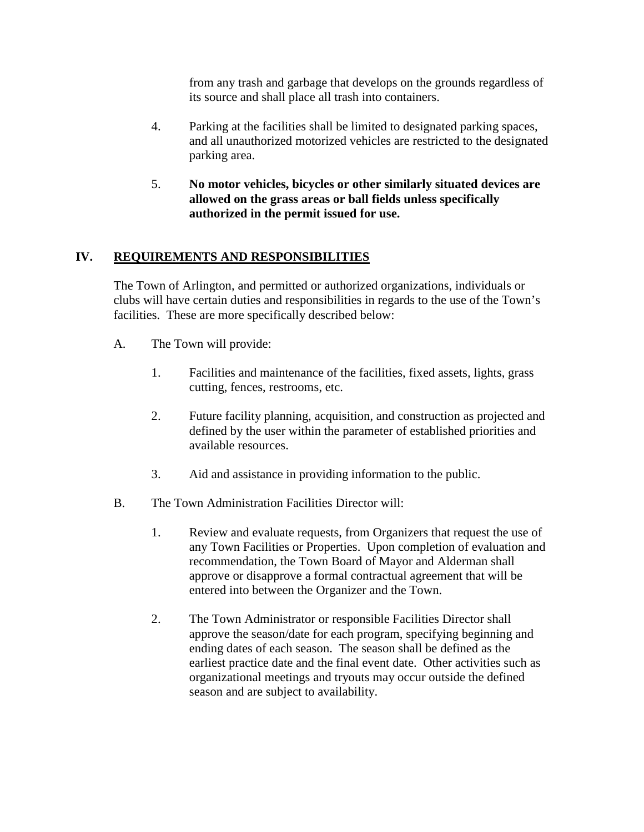from any trash and garbage that develops on the grounds regardless of its source and shall place all trash into containers.

- 4. Parking at the facilities shall be limited to designated parking spaces, and all unauthorized motorized vehicles are restricted to the designated parking area.
- 5. **No motor vehicles, bicycles or other similarly situated devices are allowed on the grass areas or ball fields unless specifically authorized in the permit issued for use.**

# **IV. REQUIREMENTS AND RESPONSIBILITIES**

The Town of Arlington, and permitted or authorized organizations, individuals or clubs will have certain duties and responsibilities in regards to the use of the Town's facilities. These are more specifically described below:

- A. The Town will provide:
	- 1. Facilities and maintenance of the facilities, fixed assets, lights, grass cutting, fences, restrooms, etc.
	- 2. Future facility planning, acquisition, and construction as projected and defined by the user within the parameter of established priorities and available resources.
	- 3. Aid and assistance in providing information to the public.
- B. The Town Administration Facilities Director will:
	- 1. Review and evaluate requests, from Organizers that request the use of any Town Facilities or Properties. Upon completion of evaluation and recommendation, the Town Board of Mayor and Alderman shall approve or disapprove a formal contractual agreement that will be entered into between the Organizer and the Town.
	- 2. The Town Administrator or responsible Facilities Director shall approve the season/date for each program, specifying beginning and ending dates of each season. The season shall be defined as the earliest practice date and the final event date. Other activities such as organizational meetings and tryouts may occur outside the defined season and are subject to availability.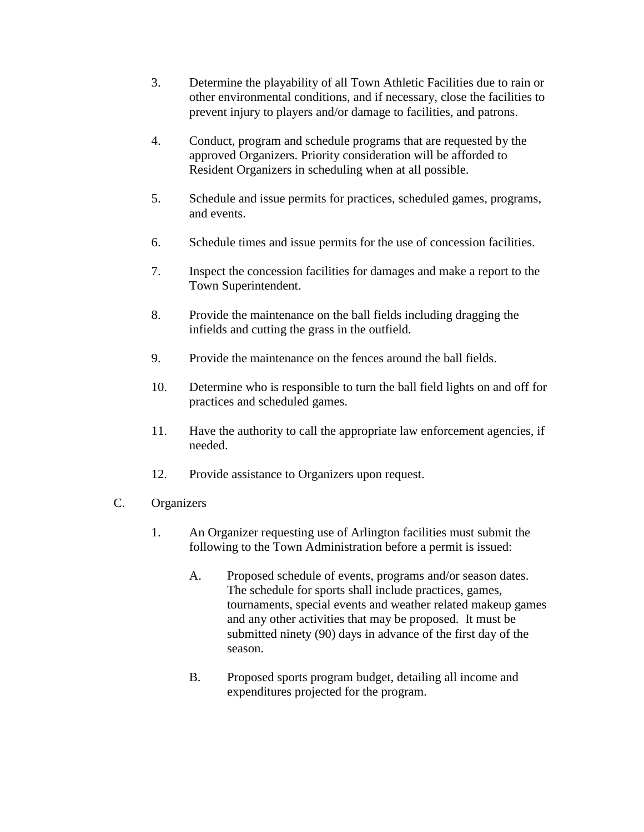- 3. Determine the playability of all Town Athletic Facilities due to rain or other environmental conditions, and if necessary, close the facilities to prevent injury to players and/or damage to facilities, and patrons.
- 4. Conduct, program and schedule programs that are requested by the approved Organizers. Priority consideration will be afforded to Resident Organizers in scheduling when at all possible.
- 5. Schedule and issue permits for practices, scheduled games, programs, and events.
- 6. Schedule times and issue permits for the use of concession facilities.
- 7. Inspect the concession facilities for damages and make a report to the Town Superintendent.
- 8. Provide the maintenance on the ball fields including dragging the infields and cutting the grass in the outfield.
- 9. Provide the maintenance on the fences around the ball fields.
- 10. Determine who is responsible to turn the ball field lights on and off for practices and scheduled games.
- 11. Have the authority to call the appropriate law enforcement agencies, if needed.
- 12. Provide assistance to Organizers upon request.
- C. Organizers
	- 1. An Organizer requesting use of Arlington facilities must submit the following to the Town Administration before a permit is issued:
		- A. Proposed schedule of events, programs and/or season dates. The schedule for sports shall include practices, games, tournaments, special events and weather related makeup games and any other activities that may be proposed. It must be submitted ninety (90) days in advance of the first day of the season.
		- B. Proposed sports program budget, detailing all income and expenditures projected for the program.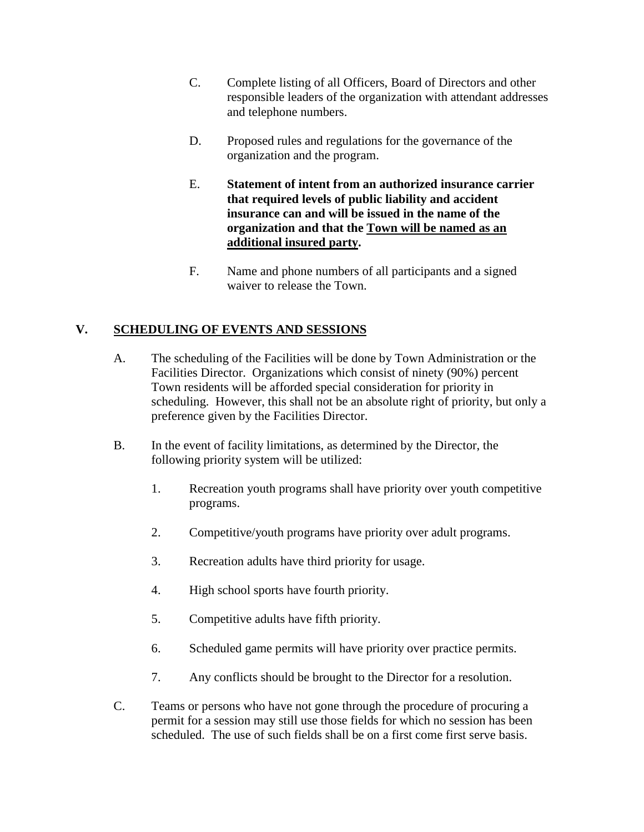- C. Complete listing of all Officers, Board of Directors and other responsible leaders of the organization with attendant addresses and telephone numbers.
- D. Proposed rules and regulations for the governance of the organization and the program.
- E. **Statement of intent from an authorized insurance carrier that required levels of public liability and accident insurance can and will be issued in the name of the organization and that the Town will be named as an additional insured party.**
- F. Name and phone numbers of all participants and a signed waiver to release the Town.

# **V. SCHEDULING OF EVENTS AND SESSIONS**

- A. The scheduling of the Facilities will be done by Town Administration or the Facilities Director. Organizations which consist of ninety (90%) percent Town residents will be afforded special consideration for priority in scheduling. However, this shall not be an absolute right of priority, but only a preference given by the Facilities Director.
- B. In the event of facility limitations, as determined by the Director, the following priority system will be utilized:
	- 1. Recreation youth programs shall have priority over youth competitive programs.
	- 2. Competitive/youth programs have priority over adult programs.
	- 3. Recreation adults have third priority for usage.
	- 4. High school sports have fourth priority.
	- 5. Competitive adults have fifth priority.
	- 6. Scheduled game permits will have priority over practice permits.
	- 7. Any conflicts should be brought to the Director for a resolution.
- C. Teams or persons who have not gone through the procedure of procuring a permit for a session may still use those fields for which no session has been scheduled. The use of such fields shall be on a first come first serve basis.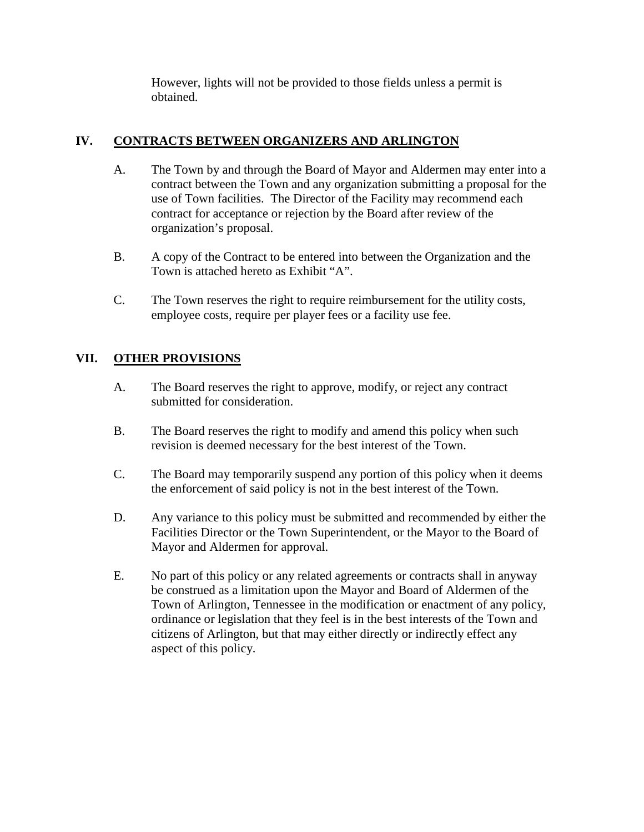However, lights will not be provided to those fields unless a permit is obtained.

# **IV. CONTRACTS BETWEEN ORGANIZERS AND ARLINGTON**

- A. The Town by and through the Board of Mayor and Aldermen may enter into a contract between the Town and any organization submitting a proposal for the use of Town facilities. The Director of the Facility may recommend each contract for acceptance or rejection by the Board after review of the organization's proposal.
- B. A copy of the Contract to be entered into between the Organization and the Town is attached hereto as Exhibit "A".
- C. The Town reserves the right to require reimbursement for the utility costs, employee costs, require per player fees or a facility use fee.

# **VII. OTHER PROVISIONS**

- A. The Board reserves the right to approve, modify, or reject any contract submitted for consideration.
- B. The Board reserves the right to modify and amend this policy when such revision is deemed necessary for the best interest of the Town.
- C. The Board may temporarily suspend any portion of this policy when it deems the enforcement of said policy is not in the best interest of the Town.
- D. Any variance to this policy must be submitted and recommended by either the Facilities Director or the Town Superintendent, or the Mayor to the Board of Mayor and Aldermen for approval.
- E. No part of this policy or any related agreements or contracts shall in anyway be construed as a limitation upon the Mayor and Board of Aldermen of the Town of Arlington, Tennessee in the modification or enactment of any policy, ordinance or legislation that they feel is in the best interests of the Town and citizens of Arlington, but that may either directly or indirectly effect any aspect of this policy.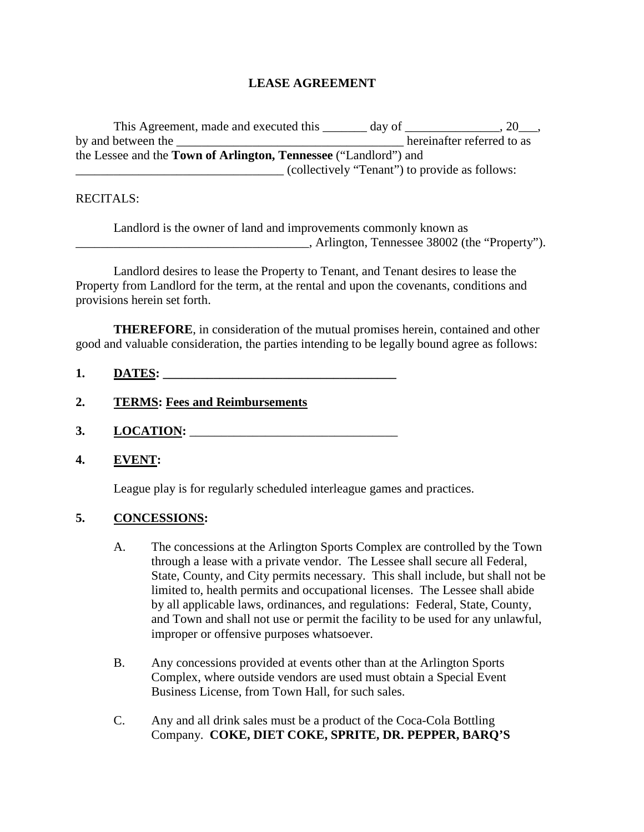# **LEASE AGREEMENT**

This Agreement, made and executed this \_\_\_\_\_\_\_ day of \_\_\_\_\_\_\_\_\_\_\_\_\_, 20\_\_\_, by and between the \_\_\_\_\_\_\_\_\_\_\_\_\_\_\_\_\_\_\_\_\_\_\_\_\_\_\_\_\_\_\_\_\_\_\_\_ hereinafter referred to as the Lessee and the **Town of Arlington, Tennessee** ("Landlord") and  $\alpha$  (collectively "Tenant") to provide as follows:

#### RECITALS:

 Landlord is the owner of land and improvements commonly known as \_\_\_\_\_\_\_\_\_\_\_\_\_\_\_\_\_\_\_\_\_\_\_\_\_\_\_\_\_\_\_\_\_\_\_\_\_, Arlington, Tennessee 38002 (the "Property").

 Landlord desires to lease the Property to Tenant, and Tenant desires to lease the Property from Landlord for the term, at the rental and upon the covenants, conditions and provisions herein set forth.

**THEREFORE**, in consideration of the mutual promises herein, contained and other good and valuable consideration, the parties intending to be legally bound agree as follows:

- **1. DATES: \_\_\_\_\_\_\_\_\_\_\_\_\_\_\_\_\_\_\_\_\_\_\_\_\_\_\_\_\_\_\_\_\_\_\_\_\_**
- **2. TERMS: Fees and Reimbursements**
- **3. LOCATION:** \_\_\_\_\_\_\_\_\_\_\_\_\_\_\_\_\_\_\_\_\_\_\_\_\_\_\_\_\_\_\_\_\_
- **4. EVENT:**

League play is for regularly scheduled interleague games and practices.

#### **5. CONCESSIONS:**

- A. The concessions at the Arlington Sports Complex are controlled by the Town through a lease with a private vendor. The Lessee shall secure all Federal, State, County, and City permits necessary. This shall include, but shall not be limited to, health permits and occupational licenses. The Lessee shall abide by all applicable laws, ordinances, and regulations: Federal, State, County, and Town and shall not use or permit the facility to be used for any unlawful, improper or offensive purposes whatsoever.
- B. Any concessions provided at events other than at the Arlington Sports Complex, where outside vendors are used must obtain a Special Event Business License, from Town Hall, for such sales.
- C. Any and all drink sales must be a product of the Coca-Cola Bottling Company. **COKE, DIET COKE, SPRITE, DR. PEPPER, BARQ'S**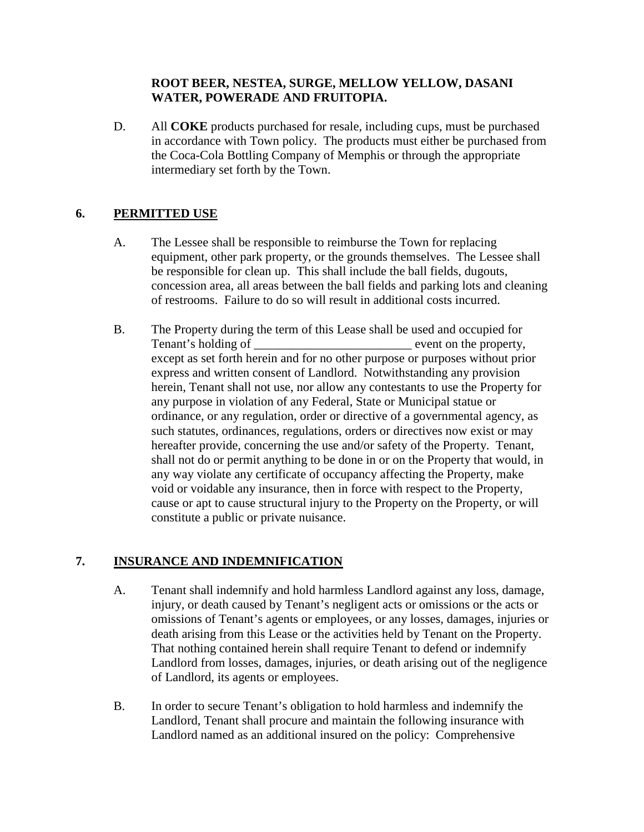#### **ROOT BEER, NESTEA, SURGE, MELLOW YELLOW, DASANI WATER, POWERADE AND FRUITOPIA.**

D. All **COKE** products purchased for resale, including cups, must be purchased in accordance with Town policy. The products must either be purchased from the Coca-Cola Bottling Company of Memphis or through the appropriate intermediary set forth by the Town.

# **6. PERMITTED USE**

- A. The Lessee shall be responsible to reimburse the Town for replacing equipment, other park property, or the grounds themselves. The Lessee shall be responsible for clean up. This shall include the ball fields, dugouts, concession area, all areas between the ball fields and parking lots and cleaning of restrooms. Failure to do so will result in additional costs incurred.
- B. The Property during the term of this Lease shall be used and occupied for Tenant's holding of \_\_\_\_\_\_\_\_\_\_\_\_\_\_\_\_\_\_\_\_\_\_\_\_\_ event on the property, except as set forth herein and for no other purpose or purposes without prior express and written consent of Landlord. Notwithstanding any provision herein, Tenant shall not use, nor allow any contestants to use the Property for any purpose in violation of any Federal, State or Municipal statue or ordinance, or any regulation, order or directive of a governmental agency, as such statutes, ordinances, regulations, orders or directives now exist or may hereafter provide, concerning the use and/or safety of the Property. Tenant, shall not do or permit anything to be done in or on the Property that would, in any way violate any certificate of occupancy affecting the Property, make void or voidable any insurance, then in force with respect to the Property, cause or apt to cause structural injury to the Property on the Property, or will constitute a public or private nuisance.

# **7. INSURANCE AND INDEMNIFICATION**

- A. Tenant shall indemnify and hold harmless Landlord against any loss, damage, injury, or death caused by Tenant's negligent acts or omissions or the acts or omissions of Tenant's agents or employees, or any losses, damages, injuries or death arising from this Lease or the activities held by Tenant on the Property. That nothing contained herein shall require Tenant to defend or indemnify Landlord from losses, damages, injuries, or death arising out of the negligence of Landlord, its agents or employees.
- B. In order to secure Tenant's obligation to hold harmless and indemnify the Landlord, Tenant shall procure and maintain the following insurance with Landlord named as an additional insured on the policy: Comprehensive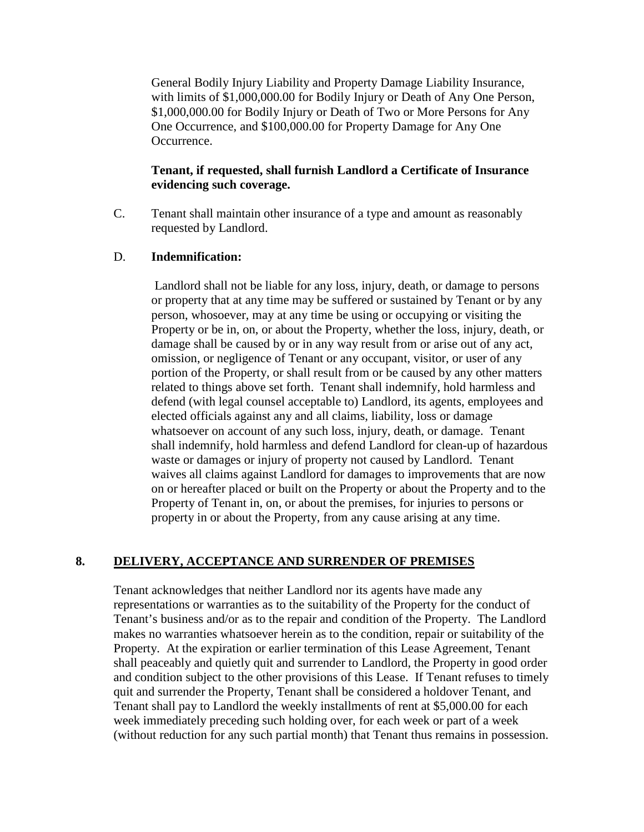General Bodily Injury Liability and Property Damage Liability Insurance, with limits of \$1,000,000.00 for Bodily Injury or Death of Any One Person, \$1,000,000.00 for Bodily Injury or Death of Two or More Persons for Any One Occurrence, and \$100,000.00 for Property Damage for Any One Occurrence.

#### **Tenant, if requested, shall furnish Landlord a Certificate of Insurance evidencing such coverage.**

C. Tenant shall maintain other insurance of a type and amount as reasonably requested by Landlord.

#### D. **Indemnification:**

 Landlord shall not be liable for any loss, injury, death, or damage to persons or property that at any time may be suffered or sustained by Tenant or by any person, whosoever, may at any time be using or occupying or visiting the Property or be in, on, or about the Property, whether the loss, injury, death, or damage shall be caused by or in any way result from or arise out of any act, omission, or negligence of Tenant or any occupant, visitor, or user of any portion of the Property, or shall result from or be caused by any other matters related to things above set forth. Tenant shall indemnify, hold harmless and defend (with legal counsel acceptable to) Landlord, its agents, employees and elected officials against any and all claims, liability, loss or damage whatsoever on account of any such loss, injury, death, or damage. Tenant shall indemnify, hold harmless and defend Landlord for clean-up of hazardous waste or damages or injury of property not caused by Landlord. Tenant waives all claims against Landlord for damages to improvements that are now on or hereafter placed or built on the Property or about the Property and to the Property of Tenant in, on, or about the premises, for injuries to persons or property in or about the Property, from any cause arising at any time.

# **8. DELIVERY, ACCEPTANCE AND SURRENDER OF PREMISES**

Tenant acknowledges that neither Landlord nor its agents have made any representations or warranties as to the suitability of the Property for the conduct of Tenant's business and/or as to the repair and condition of the Property. The Landlord makes no warranties whatsoever herein as to the condition, repair or suitability of the Property. At the expiration or earlier termination of this Lease Agreement, Tenant shall peaceably and quietly quit and surrender to Landlord, the Property in good order and condition subject to the other provisions of this Lease. If Tenant refuses to timely quit and surrender the Property, Tenant shall be considered a holdover Tenant, and Tenant shall pay to Landlord the weekly installments of rent at \$5,000.00 for each week immediately preceding such holding over, for each week or part of a week (without reduction for any such partial month) that Tenant thus remains in possession.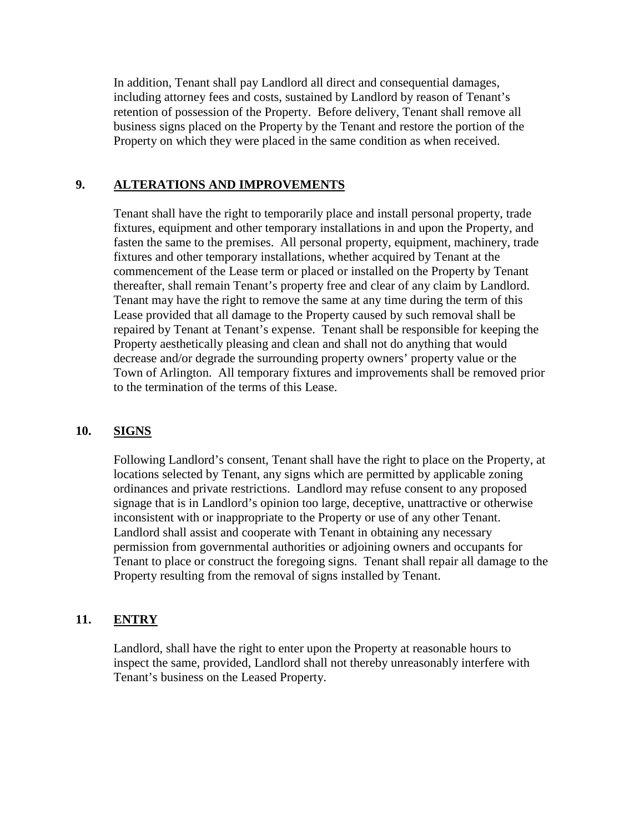In addition, Tenant shall pay Landlord all direct and consequential damages, including attorney fees and costs, sustained by Landlord by reason of Tenant's retention of possession of the Property. Before delivery, Tenant shall remove all business signs placed on the Property by the Tenant and restore the portion of the Property on which they were placed in the same condition as when received.

#### **9. ALTERATIONS AND IMPROVEMENTS**

Tenant shall have the right to temporarily place and install personal property, trade fixtures, equipment and other temporary installations in and upon the Property, and fasten the same to the premises. All personal property, equipment, machinery, trade fixtures and other temporary installations, whether acquired by Tenant at the commencement of the Lease term or placed or installed on the Property by Tenant thereafter, shall remain Tenant's property free and clear of any claim by Landlord. Tenant may have the right to remove the same at any time during the term of this Lease provided that all damage to the Property caused by such removal shall be repaired by Tenant at Tenant's expense. Tenant shall be responsible for keeping the Property aesthetically pleasing and clean and shall not do anything that would decrease and/or degrade the surrounding property owners' property value or the Town of Arlington. All temporary fixtures and improvements shall be removed prior to the termination of the terms of this Lease.

#### **10. SIGNS**

Following Landlord's consent, Tenant shall have the right to place on the Property, at locations selected by Tenant, any signs which are permitted by applicable zoning ordinances and private restrictions. Landlord may refuse consent to any proposed signage that is in Landlord's opinion too large, deceptive, unattractive or otherwise inconsistent with or inappropriate to the Property or use of any other Tenant. Landlord shall assist and cooperate with Tenant in obtaining any necessary permission from governmental authorities or adjoining owners and occupants for Tenant to place or construct the foregoing signs. Tenant shall repair all damage to the Property resulting from the removal of signs installed by Tenant.

#### **11. ENTRY**

Landlord, shall have the right to enter upon the Property at reasonable hours to inspect the same, provided, Landlord shall not thereby unreasonably interfere with Tenant's business on the Leased Property.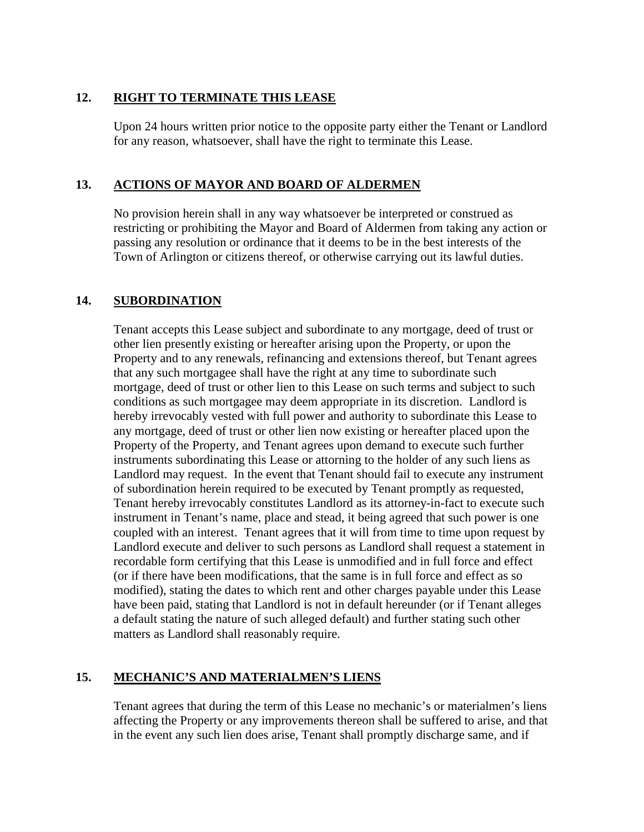# **12. RIGHT TO TERMINATE THIS LEASE**

Upon 24 hours written prior notice to the opposite party either the Tenant or Landlord for any reason, whatsoever, shall have the right to terminate this Lease.

# **13. ACTIONS OF MAYOR AND BOARD OF ALDERMEN**

No provision herein shall in any way whatsoever be interpreted or construed as restricting or prohibiting the Mayor and Board of Aldermen from taking any action or passing any resolution or ordinance that it deems to be in the best interests of the Town of Arlington or citizens thereof, or otherwise carrying out its lawful duties.

# **14. SUBORDINATION**

Tenant accepts this Lease subject and subordinate to any mortgage, deed of trust or other lien presently existing or hereafter arising upon the Property, or upon the Property and to any renewals, refinancing and extensions thereof, but Tenant agrees that any such mortgagee shall have the right at any time to subordinate such mortgage, deed of trust or other lien to this Lease on such terms and subject to such conditions as such mortgagee may deem appropriate in its discretion. Landlord is hereby irrevocably vested with full power and authority to subordinate this Lease to any mortgage, deed of trust or other lien now existing or hereafter placed upon the Property of the Property, and Tenant agrees upon demand to execute such further instruments subordinating this Lease or attorning to the holder of any such liens as Landlord may request. In the event that Tenant should fail to execute any instrument of subordination herein required to be executed by Tenant promptly as requested, Tenant hereby irrevocably constitutes Landlord as its attorney-in-fact to execute such instrument in Tenant's name, place and stead, it being agreed that such power is one coupled with an interest. Tenant agrees that it will from time to time upon request by Landlord execute and deliver to such persons as Landlord shall request a statement in recordable form certifying that this Lease is unmodified and in full force and effect (or if there have been modifications, that the same is in full force and effect as so modified), stating the dates to which rent and other charges payable under this Lease have been paid, stating that Landlord is not in default hereunder (or if Tenant alleges a default stating the nature of such alleged default) and further stating such other matters as Landlord shall reasonably require.

# **15. MECHANIC'S AND MATERIALMEN'S LIENS**

Tenant agrees that during the term of this Lease no mechanic's or materialmen's liens affecting the Property or any improvements thereon shall be suffered to arise, and that in the event any such lien does arise, Tenant shall promptly discharge same, and if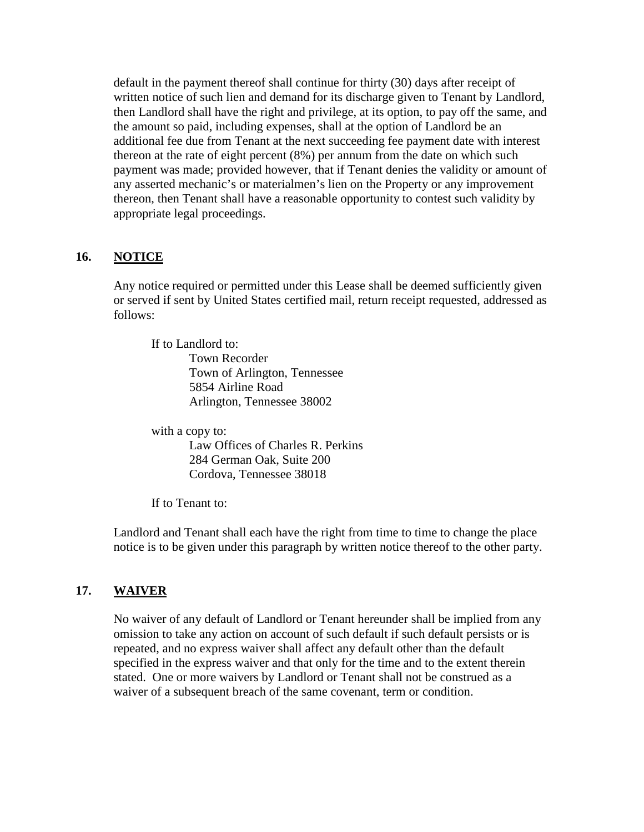default in the payment thereof shall continue for thirty (30) days after receipt of written notice of such lien and demand for its discharge given to Tenant by Landlord, then Landlord shall have the right and privilege, at its option, to pay off the same, and the amount so paid, including expenses, shall at the option of Landlord be an additional fee due from Tenant at the next succeeding fee payment date with interest thereon at the rate of eight percent (8%) per annum from the date on which such payment was made; provided however, that if Tenant denies the validity or amount of any asserted mechanic's or materialmen's lien on the Property or any improvement thereon, then Tenant shall have a reasonable opportunity to contest such validity by appropriate legal proceedings.

#### **16. NOTICE**

Any notice required or permitted under this Lease shall be deemed sufficiently given or served if sent by United States certified mail, return receipt requested, addressed as follows:

 If to Landlord to: Town Recorder Town of Arlington, Tennessee 5854 Airline Road Arlington, Tennessee 38002

with a copy to:

 Law Offices of Charles R. Perkins 284 German Oak, Suite 200 Cordova, Tennessee 38018

If to Tenant to:

Landlord and Tenant shall each have the right from time to time to change the place notice is to be given under this paragraph by written notice thereof to the other party.

#### **17. WAIVER**

No waiver of any default of Landlord or Tenant hereunder shall be implied from any omission to take any action on account of such default if such default persists or is repeated, and no express waiver shall affect any default other than the default specified in the express waiver and that only for the time and to the extent therein stated. One or more waivers by Landlord or Tenant shall not be construed as a waiver of a subsequent breach of the same covenant, term or condition.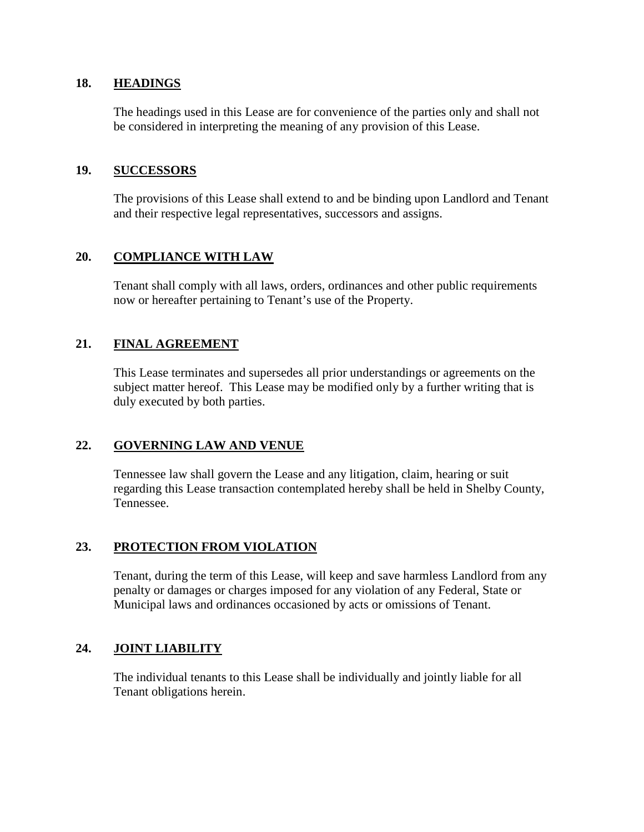#### **18. HEADINGS**

The headings used in this Lease are for convenience of the parties only and shall not be considered in interpreting the meaning of any provision of this Lease.

#### **19. SUCCESSORS**

The provisions of this Lease shall extend to and be binding upon Landlord and Tenant and their respective legal representatives, successors and assigns.

#### **20. COMPLIANCE WITH LAW**

Tenant shall comply with all laws, orders, ordinances and other public requirements now or hereafter pertaining to Tenant's use of the Property.

#### **21. FINAL AGREEMENT**

This Lease terminates and supersedes all prior understandings or agreements on the subject matter hereof. This Lease may be modified only by a further writing that is duly executed by both parties.

# **22. GOVERNING LAW AND VENUE**

Tennessee law shall govern the Lease and any litigation, claim, hearing or suit regarding this Lease transaction contemplated hereby shall be held in Shelby County, Tennessee.

# **23. PROTECTION FROM VIOLATION**

Tenant, during the term of this Lease, will keep and save harmless Landlord from any penalty or damages or charges imposed for any violation of any Federal, State or Municipal laws and ordinances occasioned by acts or omissions of Tenant.

# **24. JOINT LIABILITY**

The individual tenants to this Lease shall be individually and jointly liable for all Tenant obligations herein.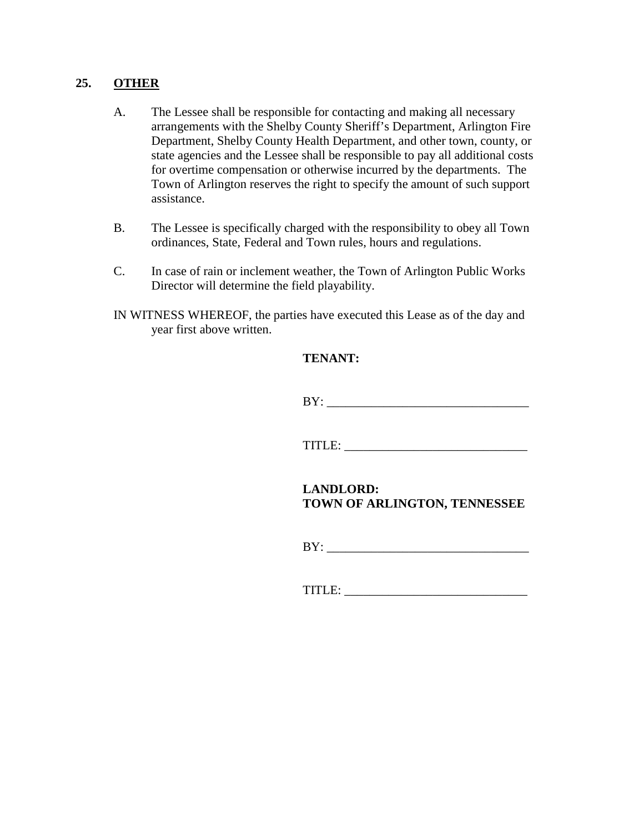#### **25. OTHER**

- A. The Lessee shall be responsible for contacting and making all necessary arrangements with the Shelby County Sheriff's Department, Arlington Fire Department, Shelby County Health Department, and other town, county, or state agencies and the Lessee shall be responsible to pay all additional costs for overtime compensation or otherwise incurred by the departments. The Town of Arlington reserves the right to specify the amount of such support assistance.
- B. The Lessee is specifically charged with the responsibility to obey all Town ordinances, State, Federal and Town rules, hours and regulations.
- C. In case of rain or inclement weather, the Town of Arlington Public Works Director will determine the field playability.
- IN WITNESS WHEREOF, the parties have executed this Lease as of the day and year first above written.

# **TENANT:**

BY: \_\_\_\_\_\_\_\_\_\_\_\_\_\_\_\_\_\_\_\_\_\_\_\_\_\_\_\_\_\_\_\_

TITLE: \_\_\_\_\_\_\_\_\_\_\_\_\_\_\_\_\_\_\_\_\_\_\_\_\_\_\_\_\_

**LANDLORD: TOWN OF ARLINGTON, TENNESSEE** 

BY: \_\_\_\_\_\_\_\_\_\_\_\_\_\_\_\_\_\_\_\_\_\_\_\_\_\_\_\_\_\_\_\_

TITLE: